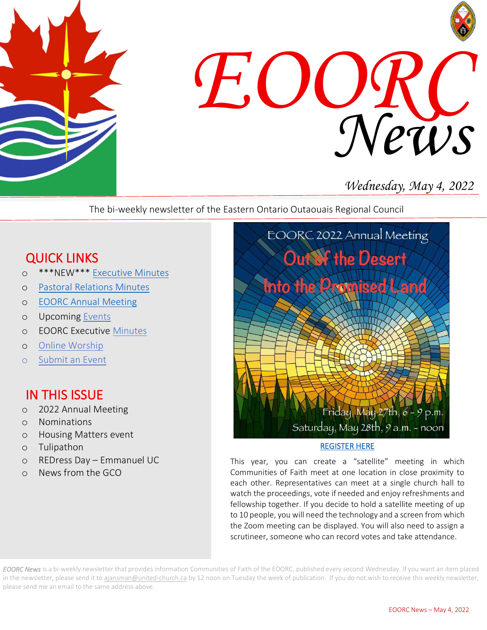



# *Wednesday, May 4, 2022*

The bi-weekly newsletter of the Eastern Ontario Outaouais Regional Council

# QUICK LINKS

- o \*\*\*NEW\*\*\* [Executive Minutes](https://eoorc.ca/about-us/governance/)
- o [Pastoral Relations Minutes](https://eoorc.ca/ministries/pastoral-relations-minutes/)
- o [EOORC Annual Meeting](https://eoorc.ca/2022-eoorc-annual-meeting/)
- o Upcoming [Events](https://eoorc.ca/events/)
- o EOORC Executive [Minutes](https://eoorc.ca/about-us/governance/)
- o [Online Worship](https://eoorc.ca/resources/online-worship/)
- o [Submit](https://eoorc.ca/events/community/add) an Event

## IN THIS ISSUE

- o 2022 Annual Meeting
- o Nominations
- o Housing Matters event
- o Tulipathon
- o REDress Day Emmanuel UC
- o News from the GCO



#### [REGISTER HERE](https://eoorc.ca/2022-eoorc-annual-meeting/)

This year, you can create a "satellite" meeting in which Communities of Faith meet at one location in close proximity to each other. Representatives can meet at a single church hall to watch the proceedings, vote if needed and enjoy refreshments and fellowship together. If you decide to hold a satellite meeting of up to 10 people, you will need the technology and a screen from which the Zoom meeting can be displayed. You will also need to assign a scrutineer, someone who can record votes and take attendance.

*EOORC News* is a bi-weekly newsletter that provides information Communities of Faith of the EOORC, published every second Wednesday. If you want an item placed in the newsletter, please send it to [ajansman@united-church.ca](mailto:ajansman@united-church.ca) by 12 noon on Tuesday the week of publication. If you do not wish to receive this weekly newsletter, please send me an email to the same address above.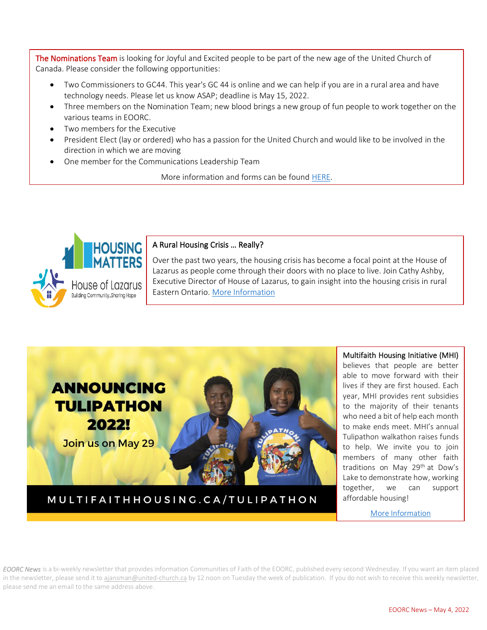The Nominations Team is looking for Joyful and Excited people to be part of the new age of the United Church of Canada. Please consider the following opportunities:

- Two Commissioners to GC44. This year's GC 44 is online and we can help if you are in a rural area and have technology needs. Please let us know ASAP; deadline is May 15, 2022.
- Three members on the Nomination Team; new blood brings a new group of fun people to work together on the various teams in EOORC.
- Two members for the Executive
- direction in which we are moving • President Elect (lay or ordered) who has a passion for the United Church and would like to be involved in the
- One member for the Communications Leadership Team

More information and forms can be foun[d HERE.](https://eoorc.ca/resources/opportunities-to-serve-nominations/)



#### A Rural Housing Crisis … Really?

 Lazarus as people come through their doors with no place to live. Join Cathy Ashby, Over the past two years, the housing crisis has become a focal point at the House of Executive Director of House of Lazarus, to gain insight into the housing crisis in rural Eastern Ontario. [More Information](https://eoorc.ca/event/housing-matters-a-rural-housing-crisis-really/)



MULTIFAITHHOUSING.CA/TULIPATHON

 Multifaith Housing Initiative (MHI) believes that people are better able to move forward with their lives if they are first housed. Each year, MHI provides rent subsidies to the majority of their tenants who need a bit or neip each month Tulipathon walkathon raises funds to help. We invite you to join members of many other faith traditions on May 29th at Dow's Lake to demonstrate how, working together, we can support affordable housing! who need a bit of help each month

[More Information](https://eoorc.ca/event/tulipathon-for-affordable-housing/)

 $\overline{a}$ 

*EOORC News* is a bi-weekly newsletter that provides information Communities of Faith of the EOORC, published every second Wednesday. If you want an item placed in the newsletter, please send it to [ajansman@united-church.ca](mailto:ajansman@united-church.ca) by 12 noon on Tuesday the week of publication. If you do not wish to receive this weekly newsletter, please send me an email to the same address above.